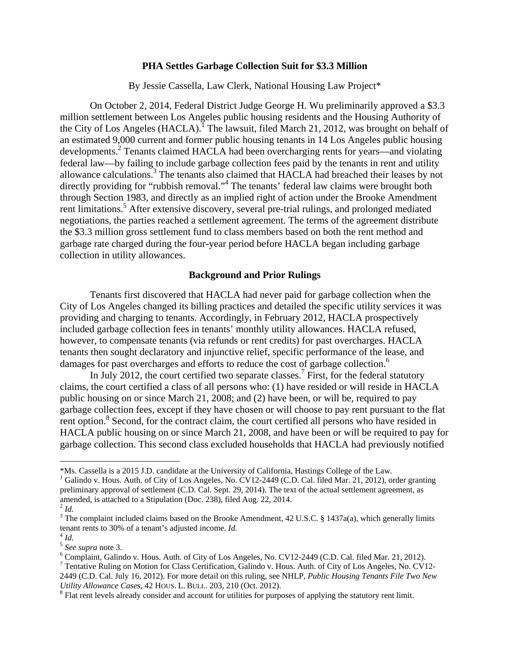#### **PHA Settles Garbage Collection Suit for \$3.3 Million**

By Jessie Cassella, Law Clerk, National Housing Law Project\*

On October 2, 2014, Federal District Judge George H. Wu preliminarily approved a \$3.3 million settlement between Los Angeles public housing residents and the Housing Authority of the City of Los Angeles  $(HACLA)$ .<sup>1</sup> The lawsuit, filed March 21, 2012, was brought on behalf of an estimated 9,000 current and former public housing tenants in 14 Los Angeles public housing developments.<sup>2</sup> Tenants claimed HACLA had been overcharging rents for years—and violating federal law—by failing to include garbage collection fees paid by the tenants in rent and utility allowance calculations.<sup>3</sup> The tenants also claimed that HACLA had breached their leases by not directly providing for "rubbish removal."<sup>4</sup> The tenants' federal law claims were brought both through Section 1983, and directly as an implied right of action under the Brooke Amendment rent limitations.<sup>5</sup> After extensive discovery, several pre-trial rulings, and prolonged mediated negotiations, the parties reached a settlement agreement. The terms of the agreement distribute the \$3.3 million gross settlement fund to class members based on both the rent method and garbage rate charged during the four-year period before HACLA began including garbage collection in utility allowances.

### **Background and Prior Rulings**

Tenants first discovered that HACLA had never paid for garbage collection when the City of Los Angeles changed its billing practices and detailed the specific utility services it was providing and charging to tenants. Accordingly, in February 2012, HACLA prospectively included garbage collection fees in tenants' monthly utility allowances. HACLA refused, however, to compensate tenants (via refunds or rent credits) for past overcharges. HACLA tenants then sought declaratory and injunctive relief, specific performance of the lease, and damages for past overcharges and efforts to reduce the cost of garbage collection.<sup>6</sup>

In July 2012, the court certified two separate classes.<sup>7</sup> First, for the federal statutory claims, the court certified a class of all persons who: (1) have resided or will reside in HACLA public housing on or since March 21, 2008; and (2) have been, or will be, required to pay garbage collection fees, except if they have chosen or will choose to pay rent pursuant to the flat rent option.<sup>8</sup> Second, for the contract claim, the court certified all persons who have resided in HACLA public housing on or since March 21, 2008, and have been or will be required to pay for garbage collection. This second class excluded households that HACLA had previously notified

<sup>\*</sup>Ms. Cassella is a 2015 J.D. candidate at the University of California, Hastings College of the Law. 1

<sup>&</sup>lt;sup>1</sup> Galindo v. Hous. Auth. of City of Los Angeles, No. CV12-2449 (C.D. Cal. filed Mar. 21, 2012), order granting preliminary approval of settlement (C.D. Cal. Sept. 29, 2014). The text of the actual settlement agreement, as amended, is attached to a Stipulation (Doc. 238), filed Aug. 22, 2014.

 $^{2}$  *Id.* 

<sup>&</sup>lt;sup>3</sup> The complaint included claims based on the Brooke Amendment, 42 U.S.C. § 1437a(a), which generally limits tenant rents to 30% of a tenant's adjusted income. *Id.* <sup>4</sup> *Id.*

<sup>5</sup> *See supra* note 3. 6

 $6$  Complaint, Galindo v. Hous. Auth. of City of Los Angeles, No. CV12-2449 (C.D. Cal. filed Mar. 21, 2012).

<sup>&</sup>lt;sup>7</sup> Tentative Ruling on Motion for Class Certification, Galindo v. Hous. Auth. of City of Los Angeles, No. CV12-2449 (C.D. Cal. July 16, 2012). For more detail on this ruling, see NHLP, *Public Housing Tenants File Two New Utility Allowance Cases*, 42 HOUS. L. BULL. 203, 210 (Oct. 2012). 8

<sup>&</sup>lt;sup>8</sup> Flat rent levels already consider and account for utilities for purposes of applying the statutory rent limit.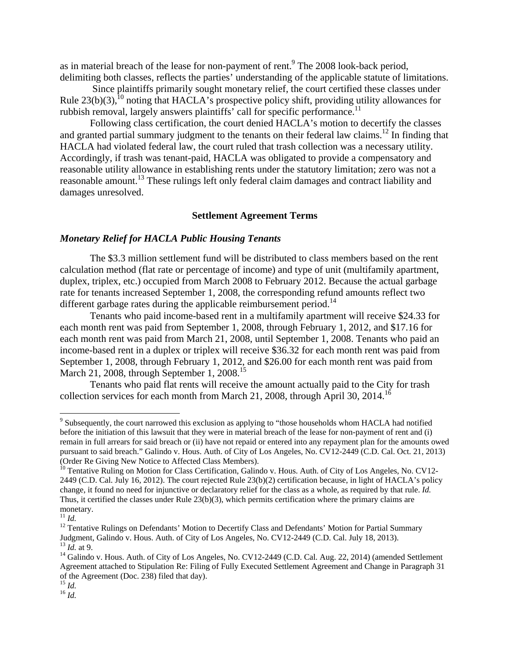as in material breach of the lease for non-payment of rent.<sup>9</sup> The 2008 look-back period, delimiting both classes, reflects the parties' understanding of the applicable statute of limitations.

 Since plaintiffs primarily sought monetary relief, the court certified these classes under Rule  $23(b)(3)$ ,<sup>10</sup> noting that HACLA's prospective policy shift, providing utility allowances for rubbish removal, largely answers plaintiffs' call for specific performance.<sup>11</sup>

Following class certification, the court denied HACLA's motion to decertify the classes and granted partial summary judgment to the tenants on their federal law claims.<sup>12</sup> In finding that HACLA had violated federal law, the court ruled that trash collection was a necessary utility. Accordingly, if trash was tenant-paid, HACLA was obligated to provide a compensatory and reasonable utility allowance in establishing rents under the statutory limitation; zero was not a reasonable amount.13 These rulings left only federal claim damages and contract liability and damages unresolved.

### **Settlement Agreement Terms**

## *Monetary Relief for HACLA Public Housing Tenants*

The \$3.3 million settlement fund will be distributed to class members based on the rent calculation method (flat rate or percentage of income) and type of unit (multifamily apartment, duplex, triplex, etc.) occupied from March 2008 to February 2012. Because the actual garbage rate for tenants increased September 1, 2008, the corresponding refund amounts reflect two different garbage rates during the applicable reimbursement period.<sup>14</sup>

Tenants who paid income-based rent in a multifamily apartment will receive \$24.33 for each month rent was paid from September 1, 2008, through February 1, 2012, and \$17.16 for each month rent was paid from March 21, 2008, until September 1, 2008. Tenants who paid an income-based rent in a duplex or triplex will receive \$36.32 for each month rent was paid from September 1, 2008, through February 1, 2012, and \$26.00 for each month rent was paid from March 21, 2008, through September 1, 2008.<sup>15</sup>

Tenants who paid flat rents will receive the amount actually paid to the City for trash collection services for each month from March 21, 2008, through April 30, 2014.<sup>16</sup>

<sup>&</sup>lt;sup>9</sup> Subsequently, the court narrowed this exclusion as applying to "those households whom HACLA had notified before the initiation of this lawsuit that they were in material breach of the lease for non-payment of rent and (i) remain in full arrears for said breach or (ii) have not repaid or entered into any repayment plan for the amounts owed pursuant to said breach." Galindo v. Hous. Auth. of City of Los Angeles, No. CV12-2449 (C.D. Cal. Oct. 21, 2013) (Order Re Giving New Notice to Affected Class Members).<br><sup>10</sup> Tentative Ruling on Motion for Class Certification, Galindo v. Hous. Auth. of City of Los Angeles, No. CV12-

<sup>2449 (</sup>C.D. Cal. July 16, 2012). The court rejected Rule 23(b)(2) certification because, in light of HACLA's policy change, it found no need for injunctive or declaratory relief for the class as a whole, as required by that rule. *Id.* Thus, it certified the classes under Rule 23(b)(3), which permits certification where the primary claims are monetary.

<sup>11</sup> *Id.*

<sup>&</sup>lt;sup>12</sup> Tentative Rulings on Defendants' Motion to Decertify Class and Defendants' Motion for Partial Summary Judgment, Galindo v. Hous. Auth. of City of Los Angeles, No. CV12-2449 (C.D. Cal. July 18, 2013). <sup>13</sup> *Id.* at 9.

<sup>&</sup>lt;sup>14</sup> Galindo v. Hous. Auth. of City of Los Angeles, No. CV12-2449 (C.D. Cal. Aug. 22, 2014) (amended Settlement Agreement attached to Stipulation Re: Filing of Fully Executed Settlement Agreement and Change in Paragraph 31 of the Agreement (Doc. 238) filed that day).  $^{15}$  *Id.* 

 $16$  *Id.*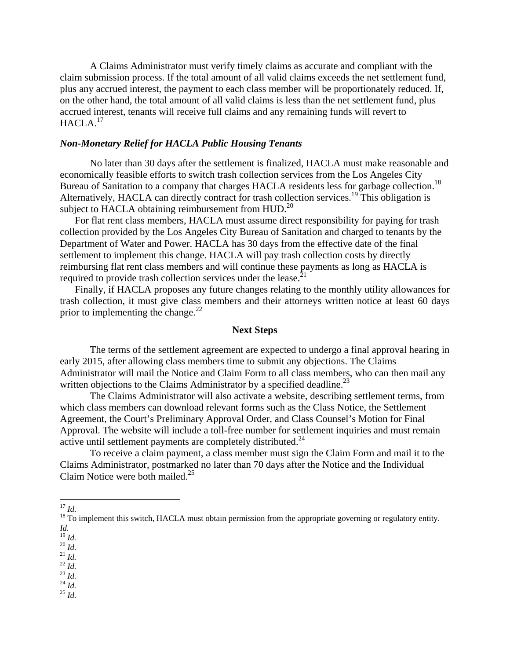A Claims Administrator must verify timely claims as accurate and compliant with the claim submission process. If the total amount of all valid claims exceeds the net settlement fund, plus any accrued interest, the payment to each class member will be proportionately reduced. If, on the other hand, the total amount of all valid claims is less than the net settlement fund, plus accrued interest, tenants will receive full claims and any remaining funds will revert to HACLA.<sup>17</sup>

# *Non-Monetary Relief for HACLA Public Housing Tenants*

No later than 30 days after the settlement is finalized, HACLA must make reasonable and economically feasible efforts to switch trash collection services from the Los Angeles City Bureau of Sanitation to a company that charges HACLA residents less for garbage collection.<sup>18</sup> Alternatively, HACLA can directly contract for trash collection services.<sup>19</sup> This obligation is subject to HACLA obtaining reimbursement from HUD.<sup>20</sup>

For flat rent class members, HACLA must assume direct responsibility for paying for trash collection provided by the Los Angeles City Bureau of Sanitation and charged to tenants by the Department of Water and Power. HACLA has 30 days from the effective date of the final settlement to implement this change. HACLA will pay trash collection costs by directly reimbursing flat rent class members and will continue these payments as long as HACLA is required to provide trash collection services under the lease.<sup>21</sup>

Finally, if HACLA proposes any future changes relating to the monthly utility allowances for trash collection, it must give class members and their attorneys written notice at least 60 days prior to implementing the change. $^{22}$ 

### **Next Steps**

The terms of the settlement agreement are expected to undergo a final approval hearing in early 2015, after allowing class members time to submit any objections. The Claims Administrator will mail the Notice and Claim Form to all class members, who can then mail any written objections to the Claims Administrator by a specified deadline.<sup>23</sup>

The Claims Administrator will also activate a website, describing settlement terms, from which class members can download relevant forms such as the Class Notice, the Settlement Agreement, the Court's Preliminary Approval Order, and Class Counsel's Motion for Final Approval. The website will include a toll-free number for settlement inquiries and must remain active until settlement payments are completely distributed.<sup>24</sup>

To receive a claim payment, a class member must sign the Claim Form and mail it to the Claims Administrator, postmarked no later than 70 days after the Notice and the Individual Claim Notice were both mailed.<sup>25</sup>

- 
- 
- 
- 

19 *Id.* 20 *Id.* 21 *Id.* 22 *Id.* 23 *Id.* 24 *Id.* 25 *Id.*

<sup>&</sup>lt;sup>17</sup> *Id.* 18 To implement this switch, HACLA must obtain permission from the appropriate governing or regulatory entity. *Id.*